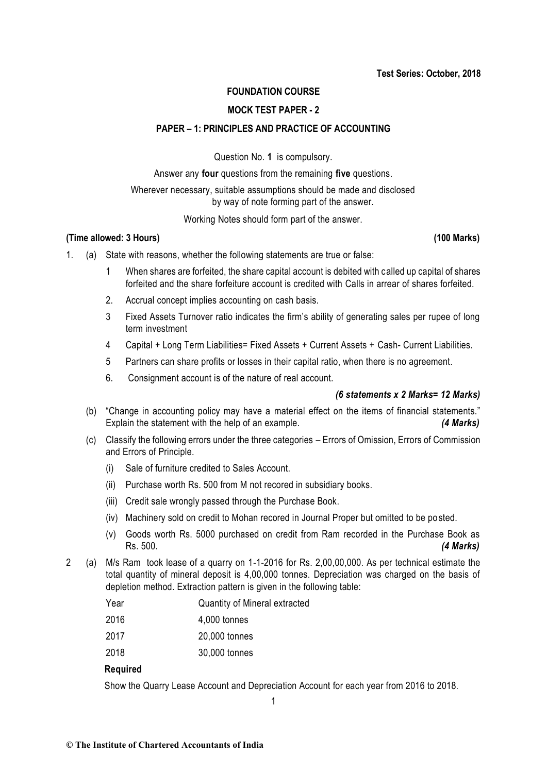# **FOUNDATION COURSE**

# **MOCK TEST PAPER - 2**

## **PAPER – 1: PRINCIPLES AND PRACTICE OF ACCOUNTING**

Question No. **1** is compulsory.

Answer any **four** questions from the remaining **five** questions.

Wherever necessary, suitable assumptions should be made and disclosed by way of note forming part of the answer.

Working Notes should form part of the answer.

#### **(Time allowed: 3 Hours) (100 Marks)**

- 1. (a) State with reasons, whether the following statements are true or false:
	- 1 When shares are forfeited, the share capital account is debited with called up capital of shares forfeited and the share forfeiture account is credited with Calls in arrear of shares forfeited.
	- 2. Accrual concept implies accounting on cash basis.
	- 3 Fixed Assets Turnover ratio indicates the firm's ability of generating sales per rupee of long term investment
	- 4 Capital + Long Term Liabilities= Fixed Assets + Current Assets + Cash- Current Liabilities.
	- 5 Partners can share profits or losses in their capital ratio, when there is no agreement.
	- 6. Consignment account is of the nature of real account.

## *(6 statements x 2 Marks= 12 Marks)*

- (b) "Change in accounting policy may have a material effect on the items of financial statements." Explain the statement with the help of an example. *(4 Marks)*
- (c) Classify the following errors under the three categories Errors of Omission, Errors of Commission and Errors of Principle.
	- (i) Sale of furniture credited to Sales Account.
	- (ii) Purchase worth Rs. 500 from M not recored in subsidiary books.
	- (iii) Credit sale wrongly passed through the Purchase Book.
	- (iv) Machinery sold on credit to Mohan recored in Journal Proper but omitted to be posted.
	- (v) Goods worth Rs. 5000 purchased on credit from Ram recorded in the Purchase Book as Rs. 500. *(4 Marks)*
- 2 (a) M/s Ram took lease of a quarry on 1-1-2016 for Rs. 2,00,00,000. As per technical estimate the total quantity of mineral deposit is 4,00,000 tonnes. Depreciation was charged on the basis of depletion method. Extraction pattern is given in the following table:
	- Year Quantity of Mineral extracted 2016 4,000 tonnes 2017 20,000 tonnes 2018 30,000 tonnes

## **Required**

Show the Quarry Lease Account and Depreciation Account for each year from 2016 to 2018.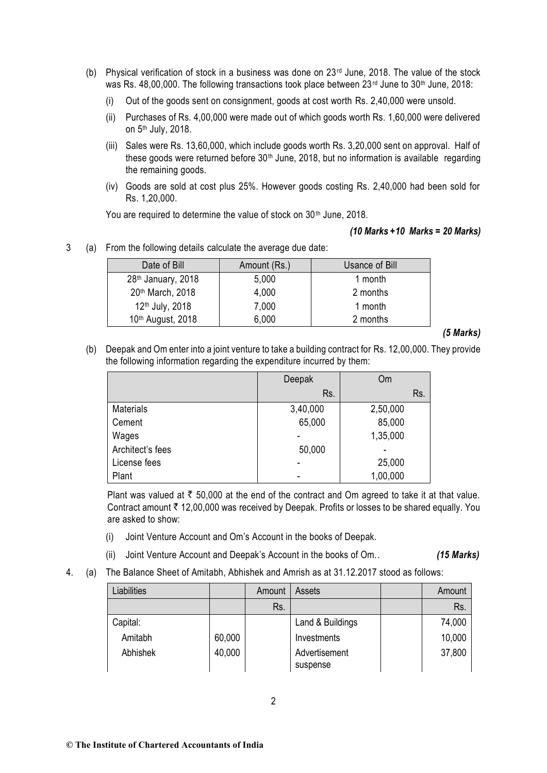- (b) Physical verification of stock in a business was done on 23rd June, 2018. The value of the stock was Rs. 48,00,000. The following transactions took place between 23rd June to 30<sup>th</sup> June, 2018:
	- (i) Out of the goods sent on consignment, goods at cost worth Rs. 2,40,000 were unsold.
	- (ii) Purchases of Rs. 4,00,000 were made out of which goods worth Rs. 1,60,000 were delivered on 5th July, 2018.
	- (iii) Sales were Rs. 13,60,000, which include goods worth Rs. 3,20,000 sent on approval. Half of these goods were returned before  $30<sup>th</sup>$  June, 2018, but no information is available regarding the remaining goods.
	- (iv) Goods are sold at cost plus 25%. However goods costing Rs. 2,40,000 had been sold for Rs. 1,20,000.

You are required to determine the value of stock on 30<sup>th</sup> June, 2018.

#### *(10 Marks +10 Marks = 20 Marks)*

3 (a) From the following details calculate the average due date:

| Date of Bill                   | Amount (Rs.) | Usance of Bill |
|--------------------------------|--------------|----------------|
| 28 <sup>th</sup> January, 2018 | 5,000        | 1 month        |
| 20th March, 2018               | 4,000        | 2 months       |
| 12 <sup>th</sup> July, 2018    | 7,000        | 1 month        |
| 10 <sup>th</sup> August, 2018  | 6,000        | 2 months       |

#### *(5 Marks)*

(b) Deepak and Om enter into a joint venture to take a building contract for Rs. 12,00,000. They provide the following information regarding the expenditure incurred by them:

|                  | <b>Om</b><br>Deepak |          |
|------------------|---------------------|----------|
|                  | Rs.                 | Rs.      |
| <b>Materials</b> | 3,40,000            | 2,50,000 |
| Cement           | 65,000              | 85,000   |
| Wages            |                     | 1,35,000 |
| Architect's fees | 50,000              |          |
| License fees     |                     | 25,000   |
| Plant            |                     | 1,00,000 |

Plant was valued at  $\bar{\tau}$  50,000 at the end of the contract and Om agreed to take it at that value. Contract amount  $\bar{\tau}$  12,00,000 was received by Deepak. Profits or losses to be shared equally. You are asked to show:

- (i) Joint Venture Account and Om's Account in the books of Deepak.
- (ii) Joint Venture Account and Deepak's Account in the books of Om.. *(15 Marks)*
- 4. (a) The Balance Sheet of Amitabh, Abhishek and Amrish as at 31.12.2017 stood as follows:

| Liabilities |        | Amount | Assets                    | Amount |
|-------------|--------|--------|---------------------------|--------|
|             |        | Rs.    |                           | Rs.    |
| Capital:    |        |        | Land & Buildings          | 74,000 |
| Amitabh     | 60,000 |        | Investments               | 10,000 |
| Abhishek    | 40,000 |        | Advertisement<br>suspense | 37,800 |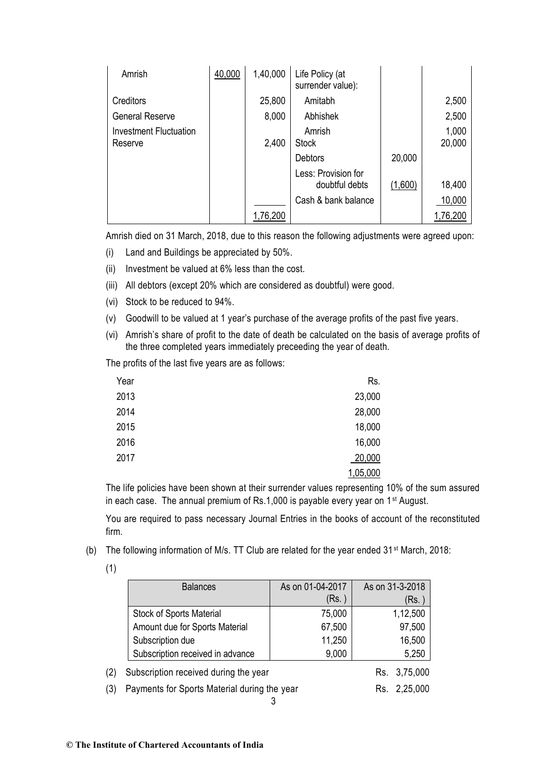| Amrish                            | 40,000 | 1,40,000 | Life Policy (at<br>surrender value):  |         |                 |
|-----------------------------------|--------|----------|---------------------------------------|---------|-----------------|
| Creditors                         |        | 25,800   | Amitabh                               |         | 2,500           |
| <b>General Reserve</b>            |        | 8,000    | Abhishek                              |         | 2,500           |
| Investment Fluctuation<br>Reserve |        | 2,400    | Amrish<br><b>Stock</b>                |         | 1,000<br>20,000 |
|                                   |        |          | <b>Debtors</b>                        | 20,000  |                 |
|                                   |        |          | Less: Provision for<br>doubtful debts | (1,600) | 18,400          |
|                                   |        |          | Cash & bank balance                   |         | 10,000          |
|                                   |        | 1,76,200 |                                       |         | 1,76,200        |

Amrish died on 31 March, 2018, due to this reason the following adjustments were agreed upon:

- (i) Land and Buildings be appreciated by 50%.
- (ii) Investment be valued at 6% less than the cost.
- (iii) All debtors (except 20% which are considered as doubtful) were good.
- (vi) Stock to be reduced to 94%.
- (v) Goodwill to be valued at 1 year's purchase of the average profits of the past five years.
- (vi) Amrish's share of profit to the date of death be calculated on the basis of average profits of the three completed years immediately preceeding the year of death.

The profits of the last five years are as follows:

| Year | Rs.      |
|------|----------|
| 2013 | 23,000   |
| 2014 | 28,000   |
| 2015 | 18,000   |
| 2016 | 16,000   |
| 2017 | 20,000   |
|      | 1,05,000 |

The life policies have been shown at their surrender values representing 10% of the sum assured in each case. The annual premium of Rs.1,000 is payable every year on 1<sup>st</sup> August.

You are required to pass necessary Journal Entries in the books of account of the reconstituted firm.

(b) The following information of M/s. TT Club are related for the year ended 31st March, 2018:

| е |  |
|---|--|
|   |  |

|     | <b>Balances</b>                              | As on 01-04-2017 | As on 31-3-2018 |
|-----|----------------------------------------------|------------------|-----------------|
|     |                                              | (Rs. )           | (Rs. )          |
|     | <b>Stock of Sports Material</b>              | 75,000           | 1,12,500        |
|     | Amount due for Sports Material               | 67,500           | 97,500          |
|     | Subscription due                             | 11,250           | 16,500          |
|     | Subscription received in advance             | 9,000            | 5,250           |
| (2) | Subscription received during the year        | Rs. 3,75,000     |                 |
| (3) | Payments for Sports Material during the year | Rs. 2,25,000     |                 |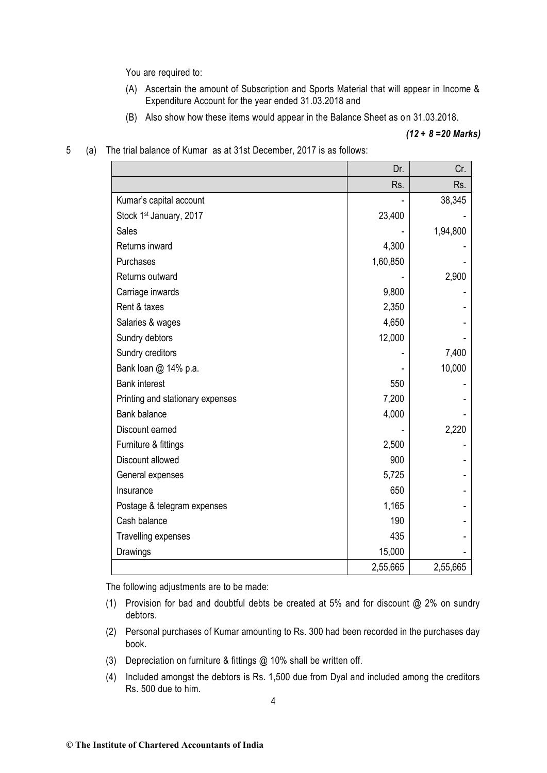You are required to:

- (A) Ascertain the amount of Subscription and Sports Material that will appear in Income & Expenditure Account for the year ended 31.03.2018 and
- (B) Also show how these items would appear in the Balance Sheet as on 31.03.2018.

#### *(12 + 8 =20 Marks)*

- $Dr.$  Cr. Rs. Rs. Kumar's capital account the state of the state of the state of the state of the state of the state of the state of the state of the state of the state of the state of the state of the state of the state of the state of the Stock 1<sup>st</sup> January, 2017 **23,400** - 23,400 Sales - 1,94,800 Returns inward 4,300 Purchases 2,60,850 - 2,60,850 - 2,60,850 - 2,60,850 - 2,60,850 - 2,60,850 - 2,60,850 - 2,60,850 - 2,60,850 - 2 Returns outward and the contract of the contract of the contract of the contract of the contract of the contract of the contract of the contract of the contract of the contract of the contract of the contract of the contra Carriage inwards 9,800 Rent & taxes 2.350 Salaries & wages 4,650 Sundry debtors and the state of the state of the state of the state of the state of the state of the state of the state of the state of the state of the state of the state of the state of the state of the state of the stat Sundry creditors  $\begin{array}{ccc} \hline \text{Simplify} & - & \end{array}$  7,400 Bank loan @ 14% p.a. 10,000 and 10,000 and 10,000 and 10,000 and 10,000 and 10,000 and 10,000 and 10,000 and 10,000 and 10,000 and 10,000 and 10,000 and 10,000 and 10,000 and 10,000 and 10,000 and 10,000 and 10,000 and 10, Bank interest 550 Printing and stationary expenses and the stationary expenses and the stationary expenses and the stationary expenses and the stationary expenses and the stationary expenses and the stationary expenses and the stationary ex Bank balance 4,000 Discount earned 2.220 Furniture & fittings 2,500 Discount allowed **1998** - 1999 - 1999 - 1999 - 1999 - 1999 - 1999 - 1999 - 1999 - 1999 - 1999 - 1999 - 1999 - 1999 - 1999 - 1999 - 1999 - 1999 - 1999 - 1999 - 1999 - 1999 - 1999 - 1999 - 1999 - 1999 - 1999 - 1999 - 1999 - General expenses and the state of the state of the state of the state of the state of the state of the state of the state of the state of the state of the state of the state of the state of the state of the state of the st Insurance **650** - **650** - **650** - **650** - **650** - **650** - **650** - **1** Postage & telegram expenses 1,165 Cash balance **190 - 190 - 190 - 190 - 190 - 190 - 190 -** 190 - 190 - 190 - 190 - 190 - 190 - 190 - 190 - 191 - 191 - 191 - 191 - 191 - 191 - 191 - 191 - 191 - 191 - 191 - 191 - 191 - 191 - 191 - 191 - 191 - 191 - 191 - 191 Travelling expenses and the state of the 435 Drawings 15,000 - 2,55,665 2,55,665
- 5 (a) The trial balance of Kumar as at 31st December, 2017 is as follows:

The following adjustments are to be made:

- (1) Provision for bad and doubtful debts be created at 5% and for discount @ 2% on sundry debtors.
- (2) Personal purchases of Kumar amounting to Rs. 300 had been recorded in the purchases day book.
- (3) Depreciation on furniture & fittings @ 10% shall be written off.
- (4) Included amongst the debtors is Rs. 1,500 due from Dyal and included among the creditors Rs. 500 due to him.